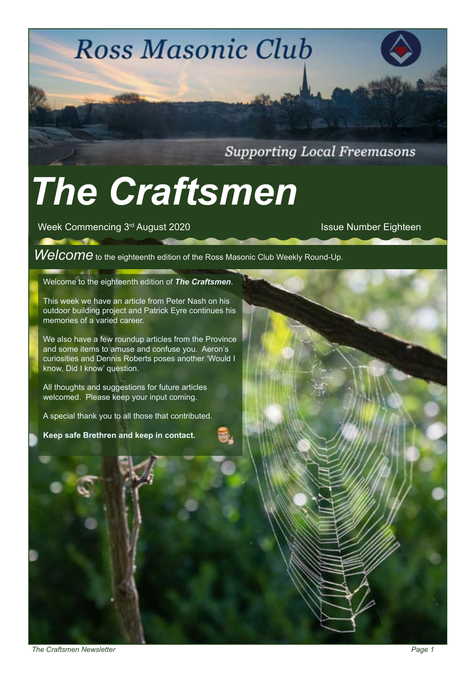**Supporting Local Freemasons** 

# *The Craftsmen*

Week Commencing 3<sup>rd</sup> August 2020 **ISSUE 2020** Issue Number Eighteen

## *Welcome* to the eighteenth edition of the Ross Masonic Club Weekly Round-Up.

**Ross Masonic Club** 

#### Welcome to the eighteenth edition of *The Craftsmen*.

This week we have an article from Peter Nash on his outdoor building project and Patrick Eyre continues his memories of a varied career.

We also have a few roundup articles from the Province and some items to amuse and confuse you. Aeron's curiosities and Dennis Roberts poses another 'Would I know, Did I know' question.

All thoughts and suggestions for future articles welcomed. Please keep your input coming.

A special thank you to all those that contributed.

**Keep safe Brethren and keep in contact.**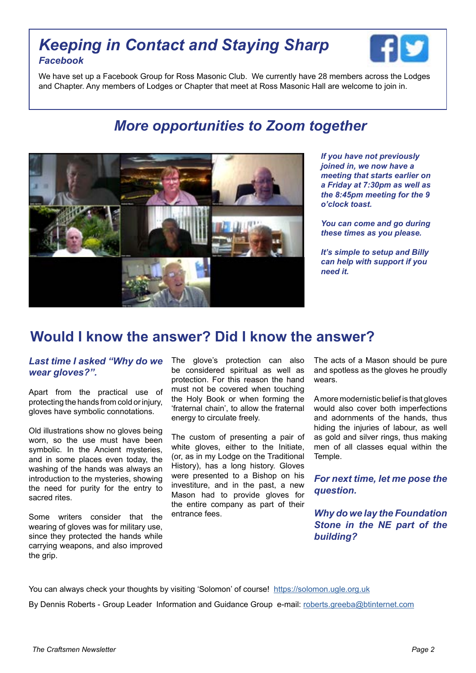### *Keeping in Contact and Staying Sharp Facebook*



We have set up a Facebook Group for Ross Masonic Club. We currently have 28 members across the Lodges and Chapter. Any members of Lodges or Chapter that meet at Ross Masonic Hall are welcome to join in.

## *More opportunities to Zoom together*



*If you have not previously joined in, we now have a meeting that starts earlier on a Friday at 7:30pm as well as the 8:45pm meeting for the 9 o'clock toast.* 

*You can come and go during these times as you please.*

*It's simple to setup and Billy can help with support if you need it.*

#### **Would I know the answer? Did I know the answer?**

#### *Last time I asked "Why do we wear gloves?".*

Apart from the practical use of protecting the hands from cold or injury, gloves have symbolic connotations.

Old illustrations show no gloves being worn, so the use must have been symbolic. In the Ancient mysteries, and in some places even today, the washing of the hands was always an introduction to the mysteries, showing the need for purity for the entry to sacred rites.

Some writers consider that the wearing of gloves was for military use, since they protected the hands while carrying weapons, and also improved the grip.

The glove's protection can also be considered spiritual as well as protection. For this reason the hand must not be covered when touching the Holy Book or when forming the 'fraternal chain', to allow the fraternal energy to circulate freely.

The custom of presenting a pair of white gloves, either to the Initiate, (or, as in my Lodge on the Traditional History), has a long history. Gloves were presented to a Bishop on his investiture, and in the past, a new Mason had to provide gloves for the entire company as part of their entrance fees.

The acts of a Mason should be pure and spotless as the gloves he proudly wears.

A more modernistic belief is that gloves would also cover both imperfections and adornments of the hands, thus hiding the injuries of labour, as well as gold and silver rings, thus making men of all classes equal within the Temple.

*For next time, let me pose the question.* 

*Why do we lay the Foundation Stone in the NE part of the building?* 

You can always check your thoughts by visiting 'Solomon' of course! [https://solomon.ugle.org.uk](https://solomon.ugle.org.ukhttp://)

By Dennis Roberts - Group Leader Information and Guidance Group e-mail: [roberts.greeba@btinternet.com](mailto:roberts.greeba%40btinternet.com?subject=Craftsmen%20Answer)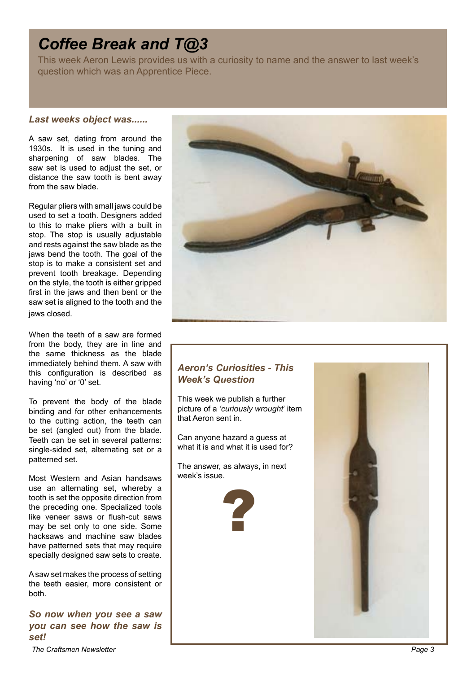## *Coffee Break and T@3*

This week Aeron Lewis provides us with a curiosity to name and the answer to last week's question which was an Apprentice Piece.

#### *Last weeks object was......*

A saw set, dating from around the 1930s. It is used in the tuning and sharpening of saw blades. The saw set is used to adjust the set, or distance the saw tooth is bent away from the saw blade.

Regular pliers with small jaws could be used to set a tooth. Designers added to this to make pliers with a built in stop. The stop is usually adjustable and rests against the saw blade as the jaws bend the tooth. The goal of the stop is to make a consistent set and prevent tooth breakage. Depending on the style, the tooth is either gripped first in the jaws and then bent or the saw set is aligned to the tooth and the jaws closed.

When the teeth of a saw are formed from the body, they are in line and the same thickness as the blade immediately behind them. A saw with this configuration is described as having 'no' or '0' set.

To prevent the body of the blade binding and for other enhancements to the cutting action, the teeth can be set (angled out) from the blade. Teeth can be set in several patterns: single-sided set, alternating set or a patterned set.

Most Western and Asian handsaws use an alternating set, whereby a tooth is set the opposite direction from the preceding one. Specialized tools like veneer saws or flush-cut saws may be set only to one side. Some hacksaws and machine saw blades have patterned sets that may require specially designed saw sets to create.

A saw set makes the process of setting the teeth easier, more consistent or both.

*So now when you see a saw you can see how the saw is set!*



#### *Aeron's Curiosities - This Week's Question*

This week we publish a further picture of a *'curiously wrought*' item that Aeron sent in.

Can anyone hazard a guess at what it is and what it is used for?

The answer, as always, in next week's issue.





**The Craftsmen Newsletter**  Page 3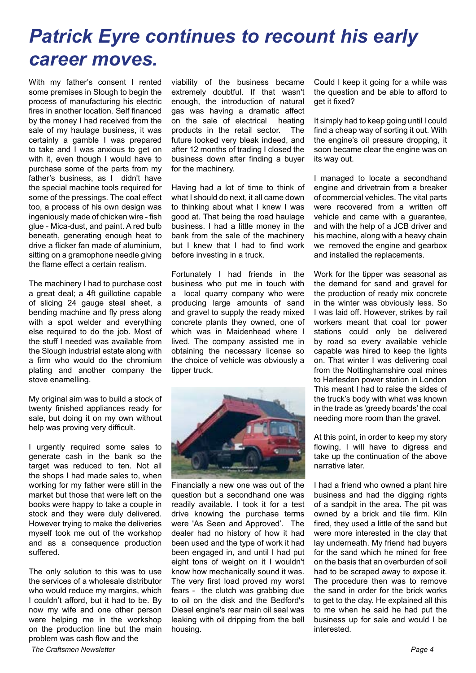## *Patrick Eyre continues to recount his early career moves.*

With my father's consent I rented some premises in Slough to begin the process of manufacturing his electric fires in another location. Self financed by the money I had received from the sale of my haulage business, it was certainly a gamble I was prepared to take and I was anxious to get on with it, even though I would have to purchase some of the parts from my father's business, as I didn't have the special machine tools required for some of the pressings. The coal effect too, a process of his own design was ingeniously made of chicken wire - fish glue - Mica-dust, and paint. A red bulb beneath, generating enough heat to drive a flicker fan made of aluminium, sitting on a gramophone needle giving the flame effect a certain realism.

The machinery I had to purchase cost a great deal; a 4ft guillotine capable of slicing 24 gauge steal sheet, a bending machine and fly press along with a spot welder and everything else required to do the job. Most of the stuff I needed was available from the Slough industrial estate along with a firm who would do the chromium plating and another company the stove enamelling.

My original aim was to build a stock of twenty finished appliances ready for sale, but doing it on my own without help was proving very difficult.

I urgently required some sales to generate cash in the bank so the target was reduced to ten. Not all the shops I had made sales to, when working for my father were still in the market but those that were left on the books were happy to take a couple in stock and they were duly delivered. However trying to make the deliveries myself took me out of the workshop and as a consequence production suffered.

The only solution to this was to use the services of a wholesale distributor who would reduce my margins, which I couldn't afford, but it had to be. By now my wife and one other person were helping me in the workshop on the production line but the main problem was cash flow and the

viability of the business became extremely doubtful. If that wasn't enough, the introduction of natural gas was having a dramatic affect on the sale of electrical heating products in the retail sector. The future looked very bleak indeed, and after 12 months of trading I closed the business down after finding a buyer for the machinery.

Having had a lot of time to think of what I should do next, it all came down to thinking about what I knew I was good at. That being the road haulage business. I had a little money in the bank from the sale of the machinery but I knew that I had to find work before investing in a truck.

Fortunately I had friends in the business who put me in touch with a local quarry company who were producing large amounts of sand and gravel to supply the ready mixed concrete plants they owned, one of which was in Maidenhead where I lived. The company assisted me in obtaining the necessary license so the choice of vehicle was obviously a tipper truck.



Financially a new one was out of the question but a secondhand one was readily available. I took it for a test drive knowing the purchase terms were 'As Seen and Approved'. The dealer had no history of how it had been used and the type of work it had been engaged in, and until I had put eight tons of weight on it I wouldn't know how mechanically sound it was. The very first load proved my worst fears - the clutch was grabbing due to oil on the disk and the Bedford's Diesel engine's rear main oil seal was leaking with oil dripping from the bell housing.

Could I keep it going for a while was the question and be able to afford to get it fixed?

It simply had to keep going until I could find a cheap way of sorting it out. With the engine's oil pressure dropping, it soon became clear the engine was on its way out.

I managed to locate a secondhand engine and drivetrain from a breaker of commercial vehicles. The vital parts were recovered from a written off vehicle and came with a guarantee, and with the help of a JCB driver and his machine, along with a heavy chain we removed the engine and gearbox and installed the replacements.

Work for the tipper was seasonal as the demand for sand and gravel for the production of ready mix concrete in the winter was obviously less. So I was laid off. However, strikes by rail workers meant that coal tor power stations could only be delivered by road so every available vehicle capable was hired to keep the lights on. That winter I was delivering coal from the Nottinghamshire coal mines to Harlesden power station in London This meant I had to raise the sides of the truck's body with what was known in the trade as 'greedy boards' the coal needing more room than the gravel.

At this point, in order to keep my story flowing, I will have to digress and take up the continuation of the above narrative later.

I had a friend who owned a plant hire business and had the digging rights of a sandpit in the area. The pit was owned by a brick and tile firm. Kiln fired, they used a little of the sand but were more interested in the clay that lay underneath. My friend had buyers for the sand which he mined for free on the basis that an overburden of soil had to be scraped away to expose it. The procedure then was to remove the sand in order for the brick works to get to the clay. He explained all this to me when he said he had put the business up for sale and would I be interested.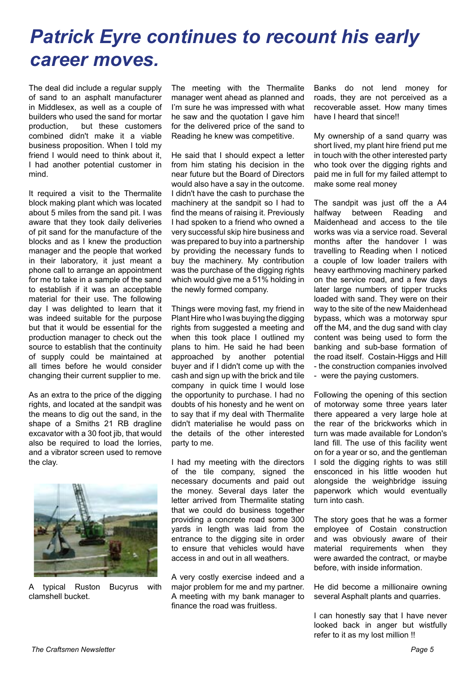## *Patrick Eyre continues to recount his early career moves.*

The deal did include a regular supply of sand to an asphalt manufacturer in Middlesex, as well as a couple of builders who used the sand for mortar production, but these customers combined didn't make it a viable business proposition. When I told my friend I would need to think about it, I had another potential customer in mind.

It required a visit to the Thermalite block making plant which was located about 5 miles from the sand pit. I was aware that they took daily deliveries of pit sand for the manufacture of the blocks and as I knew the production manager and the people that worked in their laboratory, it just meant a phone call to arrange an appointment for me to take in a sample of the sand to establish if it was an acceptable material for their use. The following day I was delighted to learn that it was indeed suitable for the purpose but that it would be essential for the production manager to check out the source to establish that the continuity of supply could be maintained at all times before he would consider changing their current supplier to me.

As an extra to the price of the digging rights, and located at the sandpit was the means to dig out the sand, in the shape of a Smiths 21 RB dragline excavator with a 30 foot jib, that would also be required to load the lorries, and a vibrator screen used to remove the clay.



A typical Ruston Bucyrus with clamshell bucket.

The meeting with the Thermalite manager went ahead as planned and I'm sure he was impressed with what he saw and the quotation I gave him for the delivered price of the sand to Reading he knew was competitive.

He said that I should expect a letter from him stating his decision in the near future but the Board of Directors would also have a say in the outcome. I didn't have the cash to purchase the machinery at the sandpit so I had to find the means of raising it. Previously I had spoken to a friend who owned a very successful skip hire business and was prepared to buy into a partnership by providing the necessary funds to buy the machinery. My contribution was the purchase of the digging rights which would give me a 51% holding in the newly formed company.

Things were moving fast, my friend in Plant Hire who I was buying the digging rights from suggested a meeting and when this took place I outlined my plans to him. He said he had been approached by another potential buyer and if I didn't come up with the cash and sign up with the brick and tile company in quick time I would lose the opportunity to purchase. I had no doubts of his honesty and he went on to say that if my deal with Thermalite didn't materialise he would pass on the details of the other interested party to me.

I had my meeting with the directors of the tile company, signed the necessary documents and paid out the money. Several days later the letter arrived from Thermalite stating that we could do business together providing a concrete road some 300 yards in length was laid from the entrance to the digging site in order to ensure that vehicles would have access in and out in all weathers.

A very costly exercise indeed and a major problem for me and my partner. A meeting with my bank manager to finance the road was fruitless.

Banks do not lend money for roads, they are not perceived as a recoverable asset. How many times have I heard that since!!

My ownership of a sand quarry was short lived, my plant hire friend put me in touch with the other interested party who took over the digging rights and paid me in full for my failed attempt to make some real money

The sandpit was just off the a A4 halfway between Reading and Maidenhead and access to the tile works was via a service road. Several months after the handover I was travelling to Reading when I noticed a couple of low loader trailers with heavy earthmoving machinery parked on the service road, and a few days later large numbers of tipper trucks loaded with sand. They were on their way to the site of the new Maidenhead bypass, which was a motorway spur off the M4, and the dug sand with clay content was being used to form the banking and sub-base formation of the road itself. Costain-Higgs and Hill - the construction companies involved - were the paying customers.

Following the opening of this section of motorway some three years later there appeared a very large hole at the rear of the brickworks which in turn was made available for London's land fill. The use of this facility went on for a year or so, and the gentleman I sold the digging rights to was still ensconced in his little wooden hut alongside the weighbridge issuing paperwork which would eventually turn into cash.

The story goes that he was a former employee of Costain construction and was obviously aware of their material requirements when they were awarded the contract, or maybe before, with inside information.

He did become a millionaire owning several Asphalt plants and quarries.

I can honestly say that I have never looked back in anger but wistfully refer to it as my lost million !!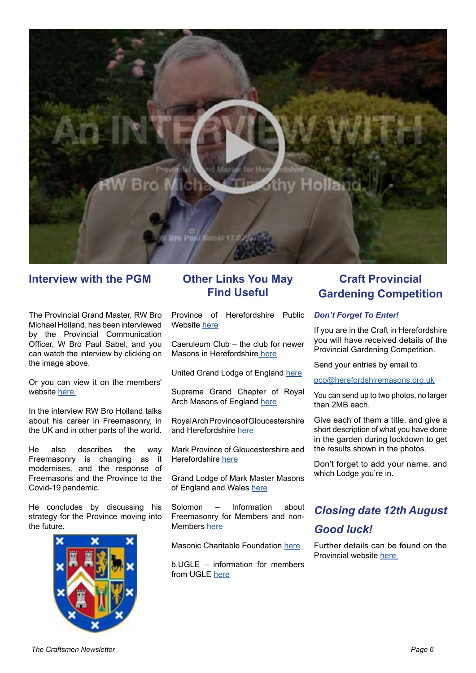

#### **Interview with the PGM**

The Provincial Grand Master, RW Bro Michael Holland, has been interviewed by the Provincial Communication Officer, W Bro Paul Sabel, and you can watch the interview by clicking on the image above.

Or you can view it on the members' website [here.](https://hmwma.herefordshiremasons.org.uk/interviews-and-podcasts/)

In the interview RW Bro Holland talks about his career in Freemasonry, in the UK and in other parts of the world.

He also describes the way Freemasonry is changing as it modernises, and the response of Freemasons and the Province to the Covid-19 pandemic.

He concludes by discussing his strategy for the Province moving into the future.



#### **Other Links You May Find Useful**

Province of Herefordshire Public Website [here](https://herefordshiremasons.org.uk)

Caeruleum Club – the club for newer Masons in Herefordshir[e here](https://caeruleum.club)

United Grand Lodge of England [here](https://www.ugle.org.uk)

Supreme Grand Chapter of Royal Arch Masons of England [here](https://www.supremegrandchapter.org.uk)

Royal Arch Province of Gloucestershire and Herefordshire [here](http://glosandhereroyalarch.com)

Mark Province of Gloucestershire and Herefordshire [here](https://gandhmark.org.uk)

Grand Lodge of Mark Master Masons of England and Wales [here](https://www.markmasonshall.org/index.php/orders/mark-master-mason)

Solomon – Information about Freemasonry for Members and non-Members [here](https://solomon.ugle.org.uk)

Masonic Charitable Foundation [here](https://mcf.org.uk)

b.UGLE – information for members from UGLE [here](https://b.ugle.org.uk)

#### **Craft Provincial Gardening Competition**

#### *Don't Forget To Enter!*

If you are in the Craft in Herefordshire you will have received details of the Provincial Gardening Competition.

Send your entries by email to

[pco@herefordshiremasons.org.uk](mailto:pco%40herefordshiremasons.org.uk?subject=Provincial%20Gardening%20Competition)

You can send up to two photos, no larger than 2MB each.

Give each of them a title, and give a short description of what you have done in the garden during lockdown to get the results shown in the photos.

Don't forget to add your name, and which Lodge you're in.

## *Closing date 12th August*

#### *Good luck!*

Further details can be found on the Provincial website [here](https://hmwma.herefordshiremasons.org.uk/provincial-garden-competition/)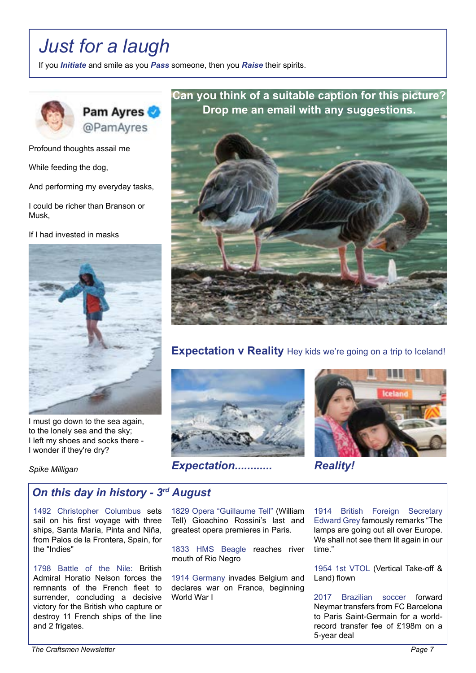## *Just for a laugh*

If you *Initiate* and smile as you *Pass* someone, then you *Raise* their spirits.



Profound thoughts assail me

While feeding the dog,

And performing my everyday tasks,

I could be richer than Branson or Musk,

If I had invested in masks



I must go down to the sea again, to the lonely sea and the sky; I left my shoes and socks there - I wonder if they're dry?

*Spike Milligan*

#### **Can you think of a suitable caption for this picture? Drop me an email with any suggestions.**



#### **Expectation v Reality** Hey kids we're going on a trip to Iceland!





*Expectation............ Reality!*

#### *On this day in history - 3rd August*

1492 Christopher Columbus sets sail on his first voyage with three ships, Santa María, Pinta and Niña, from Palos de la Frontera, Spain, for the "Indies"

1798 Battle of the Nile: British Admiral Horatio Nelson forces the remnants of the French fleet to surrender, concluding a decisive victory for the British who capture or destroy 11 French ships of the line and 2 frigates.

1829 Opera "Guillaume Tell" (William Tell) Gioachino Rossini's last and greatest opera premieres in Paris.

1833 HMS Beagle reaches river mouth of Rio Negro

1914 Germany invades Belgium and declares war on France, beginning World War I

1914 British Foreign Secretary Edward Grey famously remarks "The lamps are going out all over Europe. We shall not see them lit again in our time."

1954 1st VTOL (Vertical Take-off & Land) flown

2017 Brazilian soccer forward Neymar transfers from FC Barcelona to Paris Saint-Germain for a worldrecord transfer fee of £198m on a 5-year deal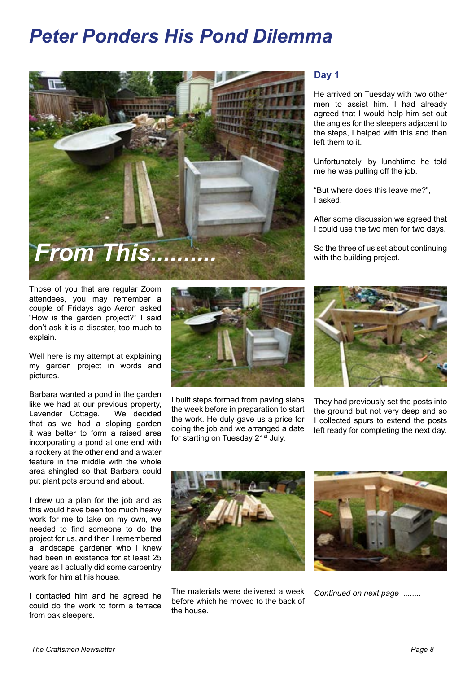## *Peter Ponders His Pond Dilemma*



Those of you that are regular Zoom attendees, you may remember a couple of Fridays ago Aeron asked "How is the garden project?" I said don't ask it is a disaster, too much to explain.

Well here is my attempt at explaining my garden project in words and pictures.

Barbara wanted a pond in the garden like we had at our previous property, Lavender Cottage. We decided that as we had a sloping garden it was better to form a raised area incorporating a pond at one end with a rockery at the other end and a water feature in the middle with the whole area shingled so that Barbara could put plant pots around and about.

I drew up a plan for the job and as this would have been too much heavy work for me to take on my own, we needed to find someone to do the project for us, and then I remembered a landscape gardener who I knew had been in existence for at least 25 years as I actually did some carpentry work for him at his house.

I contacted him and he agreed he could do the work to form a terrace from oak sleepers.



I built steps formed from paving slabs the week before in preparation to start the work. He duly gave us a price for doing the job and we arranged a date for starting on Tuesday 21<sup>st</sup> July.

#### **Day 1**

He arrived on Tuesday with two other men to assist him. I had already agreed that I would help him set out the angles for the sleepers adjacent to the steps, I helped with this and then left them to it.

Unfortunately, by lunchtime he told me he was pulling off the job.

"But where does this leave me?", I asked.

After some discussion we agreed that I could use the two men for two days.

So the three of us set about continuing with the building project.



They had previously set the posts into the ground but not very deep and so I collected spurs to extend the posts left ready for completing the next day.



The materials were delivered a week before which he moved to the back of the house.



*Continued on next page .........*